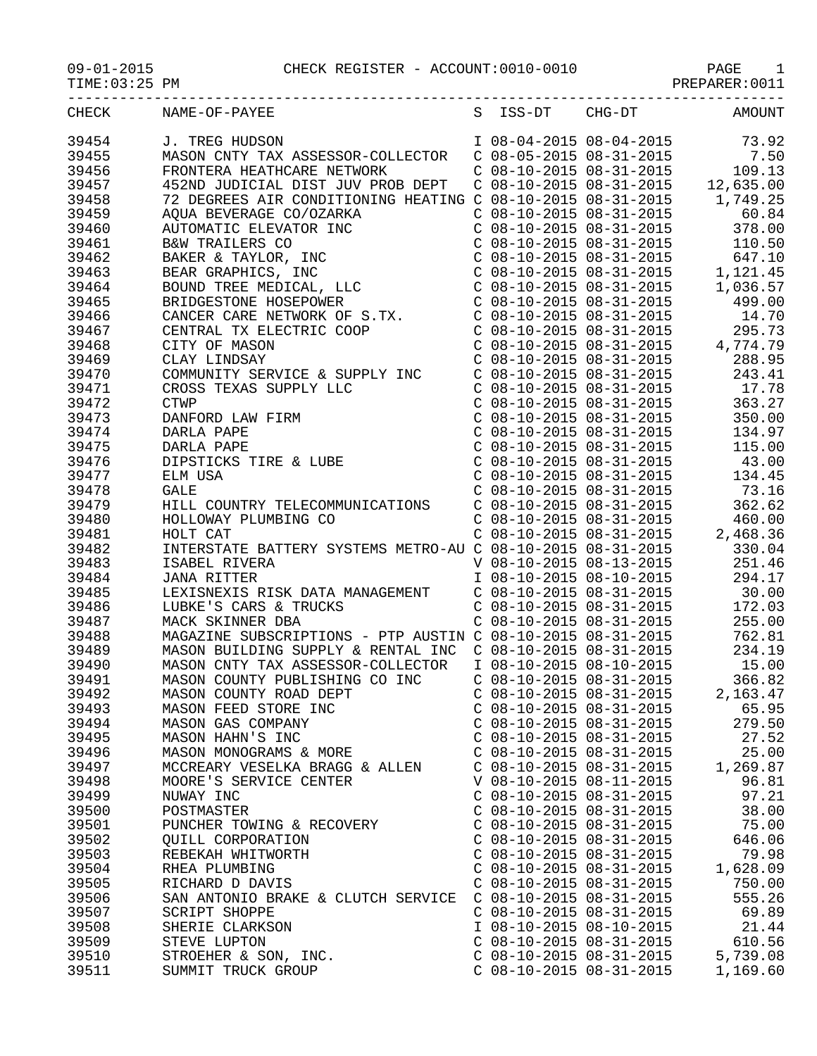09-01-2015<br>TIME:03:25 PM CHECK REGISTER - ACCOUNT:0010-0010

| CHECK | NAME-OF-PAYEE                                                                                                                                                                                                                                                                                                                                                                                                                                                                                                                                                                                                                         |                           |                           | S ISS-DT CHG-DT AMOUNT |
|-------|---------------------------------------------------------------------------------------------------------------------------------------------------------------------------------------------------------------------------------------------------------------------------------------------------------------------------------------------------------------------------------------------------------------------------------------------------------------------------------------------------------------------------------------------------------------------------------------------------------------------------------------|---------------------------|---------------------------|------------------------|
| 39454 | J. TREG HUDSON 1 08-04-2015 08-04-2015 73.92<br>MASON CNTY TAX ASSESSOR-COLLECTOR C 08-05-2015 08-31-2015 7.50<br>FRONTERA HEATHCARE NETWORK C 08-10-2015 08-31-2015 109.13<br>452ND JUDICIAL DIST JUV PROB DEPT C 08-10-2015 08-31-201                                                                                                                                                                                                                                                                                                                                                                                               |                           |                           |                        |
| 39455 |                                                                                                                                                                                                                                                                                                                                                                                                                                                                                                                                                                                                                                       |                           |                           |                        |
| 39456 |                                                                                                                                                                                                                                                                                                                                                                                                                                                                                                                                                                                                                                       |                           |                           |                        |
|       |                                                                                                                                                                                                                                                                                                                                                                                                                                                                                                                                                                                                                                       |                           |                           |                        |
| 39457 |                                                                                                                                                                                                                                                                                                                                                                                                                                                                                                                                                                                                                                       |                           |                           |                        |
| 39458 |                                                                                                                                                                                                                                                                                                                                                                                                                                                                                                                                                                                                                                       |                           |                           |                        |
| 39459 |                                                                                                                                                                                                                                                                                                                                                                                                                                                                                                                                                                                                                                       |                           |                           |                        |
| 39460 |                                                                                                                                                                                                                                                                                                                                                                                                                                                                                                                                                                                                                                       |                           |                           |                        |
| 39461 |                                                                                                                                                                                                                                                                                                                                                                                                                                                                                                                                                                                                                                       |                           |                           |                        |
| 39462 |                                                                                                                                                                                                                                                                                                                                                                                                                                                                                                                                                                                                                                       |                           |                           |                        |
| 39463 |                                                                                                                                                                                                                                                                                                                                                                                                                                                                                                                                                                                                                                       |                           |                           |                        |
| 39464 |                                                                                                                                                                                                                                                                                                                                                                                                                                                                                                                                                                                                                                       |                           |                           |                        |
| 39465 |                                                                                                                                                                                                                                                                                                                                                                                                                                                                                                                                                                                                                                       |                           |                           |                        |
| 39466 |                                                                                                                                                                                                                                                                                                                                                                                                                                                                                                                                                                                                                                       |                           |                           |                        |
| 39467 |                                                                                                                                                                                                                                                                                                                                                                                                                                                                                                                                                                                                                                       |                           |                           |                        |
|       |                                                                                                                                                                                                                                                                                                                                                                                                                                                                                                                                                                                                                                       |                           |                           |                        |
| 39468 |                                                                                                                                                                                                                                                                                                                                                                                                                                                                                                                                                                                                                                       |                           |                           |                        |
| 39469 |                                                                                                                                                                                                                                                                                                                                                                                                                                                                                                                                                                                                                                       |                           |                           |                        |
| 39470 |                                                                                                                                                                                                                                                                                                                                                                                                                                                                                                                                                                                                                                       |                           |                           |                        |
| 39471 |                                                                                                                                                                                                                                                                                                                                                                                                                                                                                                                                                                                                                                       |                           |                           |                        |
| 39472 |                                                                                                                                                                                                                                                                                                                                                                                                                                                                                                                                                                                                                                       |                           |                           |                        |
| 39473 |                                                                                                                                                                                                                                                                                                                                                                                                                                                                                                                                                                                                                                       |                           |                           |                        |
| 39474 |                                                                                                                                                                                                                                                                                                                                                                                                                                                                                                                                                                                                                                       |                           |                           |                        |
| 39475 |                                                                                                                                                                                                                                                                                                                                                                                                                                                                                                                                                                                                                                       |                           |                           |                        |
| 39476 |                                                                                                                                                                                                                                                                                                                                                                                                                                                                                                                                                                                                                                       |                           |                           |                        |
| 39477 |                                                                                                                                                                                                                                                                                                                                                                                                                                                                                                                                                                                                                                       |                           |                           |                        |
| 39478 |                                                                                                                                                                                                                                                                                                                                                                                                                                                                                                                                                                                                                                       |                           |                           |                        |
| 39479 |                                                                                                                                                                                                                                                                                                                                                                                                                                                                                                                                                                                                                                       |                           |                           |                        |
|       | $\begin{tabular}{lllllllllllllllllllllll} \multicolumn{2}{c}{\begin{tabular}{l}c@{\hspace{0.3cm}}c@{\hspace{0.3cm}}c@{\hspace{0.3cm}}c@{\hspace{0.3cm}}c@{\hspace{0.3cm}}c@{\hspace{0.3cm}}c@{\hspace{0.3cm}}c@{\hspace{0.3cm}}c@{\hspace{0.3cm}}c@{\hspace{0.3cm}}c@{\hspace{0.3cm}}c@{\hspace{0.3cm}}c@{\hspace{0.3cm}}c@{\hspace{0.3cm}}c@{\hspace{0.3cm}}c@{\hspace{0.3cm}}c@{\hspace{0.$<br>HOLLOWAY PLUMBING CO<br>HOLLOWAY PLUMBING CO<br>HOLT CAT<br>COMENTERY SYSTEMS METRO-AU COMBON COMENTERS TATE BATTERY SYSTEMS METRO-AU COMBON COMBON COMBON COMBON COMBON COMBON COMBON COMBON COMBON COMBON COMBON COMBON COMBON COM |                           |                           |                        |
| 39480 |                                                                                                                                                                                                                                                                                                                                                                                                                                                                                                                                                                                                                                       |                           |                           |                        |
| 39481 |                                                                                                                                                                                                                                                                                                                                                                                                                                                                                                                                                                                                                                       |                           |                           |                        |
| 39482 |                                                                                                                                                                                                                                                                                                                                                                                                                                                                                                                                                                                                                                       |                           |                           |                        |
| 39483 |                                                                                                                                                                                                                                                                                                                                                                                                                                                                                                                                                                                                                                       |                           |                           |                        |
| 39484 |                                                                                                                                                                                                                                                                                                                                                                                                                                                                                                                                                                                                                                       |                           |                           |                        |
| 39485 |                                                                                                                                                                                                                                                                                                                                                                                                                                                                                                                                                                                                                                       |                           |                           |                        |
| 39486 | LUBKE'S CARS & TRUCKS<br>MACK SKINNER DBA<br>C 08-10-2015 08-31-2015<br>C 08-10-2015 08-31-2015                                                                                                                                                                                                                                                                                                                                                                                                                                                                                                                                       |                           |                           | 172.03                 |
| 39487 | MACK SKINNER DBA<br>MAGAZINE SUBSCRIPTIONS - PTP AUSTIN C 08-10-2015 08-31-2015 255.00<br>MAGON BUILDING SUPPLY & RENTAL INC C 08-10-2015 08-31-2015 234.19<br>MASON CNTY TAX ASSESSOR-COLLECTOR I 08-10-2015 08-10-2015 15.00                                                                                                                                                                                                                                                                                                                                                                                                        |                           |                           |                        |
| 39488 |                                                                                                                                                                                                                                                                                                                                                                                                                                                                                                                                                                                                                                       |                           |                           |                        |
| 39489 |                                                                                                                                                                                                                                                                                                                                                                                                                                                                                                                                                                                                                                       |                           |                           |                        |
| 39490 |                                                                                                                                                                                                                                                                                                                                                                                                                                                                                                                                                                                                                                       |                           |                           |                        |
| 39491 | MASON COUNTY PUBLISHING CO INC                                                                                                                                                                                                                                                                                                                                                                                                                                                                                                                                                                                                        |                           | $C$ 08-10-2015 08-31-2015 | 366.82                 |
| 39492 |                                                                                                                                                                                                                                                                                                                                                                                                                                                                                                                                                                                                                                       |                           | $C$ 08-10-2015 08-31-2015 | 2,163.47               |
|       | MASON COUNTY ROAD DEPT                                                                                                                                                                                                                                                                                                                                                                                                                                                                                                                                                                                                                |                           |                           |                        |
| 39493 | MASON FEED STORE INC                                                                                                                                                                                                                                                                                                                                                                                                                                                                                                                                                                                                                  | $C$ 08-10-2015 08-31-2015 |                           | 65.95                  |
| 39494 | MASON GAS COMPANY                                                                                                                                                                                                                                                                                                                                                                                                                                                                                                                                                                                                                     | $C$ 08-10-2015 08-31-2015 |                           | 279.50                 |
| 39495 | MASON HAHN'S INC                                                                                                                                                                                                                                                                                                                                                                                                                                                                                                                                                                                                                      | $C$ 08-10-2015 08-31-2015 |                           | 27.52                  |
| 39496 | MASON MONOGRAMS & MORE                                                                                                                                                                                                                                                                                                                                                                                                                                                                                                                                                                                                                | $C$ 08-10-2015 08-31-2015 |                           | 25.00                  |
| 39497 | MCCREARY VESELKA BRAGG & ALLEN                                                                                                                                                                                                                                                                                                                                                                                                                                                                                                                                                                                                        | $C$ 08-10-2015 08-31-2015 |                           | 1,269.87               |
| 39498 | MOORE'S SERVICE CENTER                                                                                                                                                                                                                                                                                                                                                                                                                                                                                                                                                                                                                | V 08-10-2015 08-11-2015   |                           | 96.81                  |
| 39499 | NUWAY INC                                                                                                                                                                                                                                                                                                                                                                                                                                                                                                                                                                                                                             | $C$ 08-10-2015 08-31-2015 |                           | 97.21                  |
| 39500 | POSTMASTER                                                                                                                                                                                                                                                                                                                                                                                                                                                                                                                                                                                                                            | $C$ 08-10-2015 08-31-2015 |                           | 38.00                  |
| 39501 | PUNCHER TOWING & RECOVERY                                                                                                                                                                                                                                                                                                                                                                                                                                                                                                                                                                                                             | $C$ 08-10-2015 08-31-2015 |                           | 75.00                  |
| 39502 | QUILL CORPORATION                                                                                                                                                                                                                                                                                                                                                                                                                                                                                                                                                                                                                     | $C$ 08-10-2015 08-31-2015 |                           | 646.06                 |
| 39503 | REBEKAH WHITWORTH                                                                                                                                                                                                                                                                                                                                                                                                                                                                                                                                                                                                                     | $C$ 08-10-2015 08-31-2015 |                           | 79.98                  |
| 39504 | RHEA PLUMBING                                                                                                                                                                                                                                                                                                                                                                                                                                                                                                                                                                                                                         | $C$ 08-10-2015 08-31-2015 |                           | 1,628.09               |
| 39505 | RICHARD D DAVIS                                                                                                                                                                                                                                                                                                                                                                                                                                                                                                                                                                                                                       | $C$ 08-10-2015 08-31-2015 |                           | 750.00                 |
| 39506 | SAN ANTONIO BRAKE & CLUTCH SERVICE                                                                                                                                                                                                                                                                                                                                                                                                                                                                                                                                                                                                    | $C$ 08-10-2015 08-31-2015 |                           | 555.26                 |
|       |                                                                                                                                                                                                                                                                                                                                                                                                                                                                                                                                                                                                                                       |                           |                           |                        |
| 39507 | <b>SCRIPT SHOPPE</b>                                                                                                                                                                                                                                                                                                                                                                                                                                                                                                                                                                                                                  | $C$ 08-10-2015 08-31-2015 |                           | 69.89                  |
| 39508 | SHERIE CLARKSON                                                                                                                                                                                                                                                                                                                                                                                                                                                                                                                                                                                                                       | I 08-10-2015 08-10-2015   |                           | 21.44                  |
| 39509 | STEVE LUPTON                                                                                                                                                                                                                                                                                                                                                                                                                                                                                                                                                                                                                          | $C$ 08-10-2015 08-31-2015 |                           | 610.56                 |
| 39510 | STROEHER & SON, INC.                                                                                                                                                                                                                                                                                                                                                                                                                                                                                                                                                                                                                  | $C$ 08-10-2015 08-31-2015 |                           | 5,739.08               |

39511 SUMMIT TRUCK GROUP C 08-10-2015 08-31-2015 1,169.60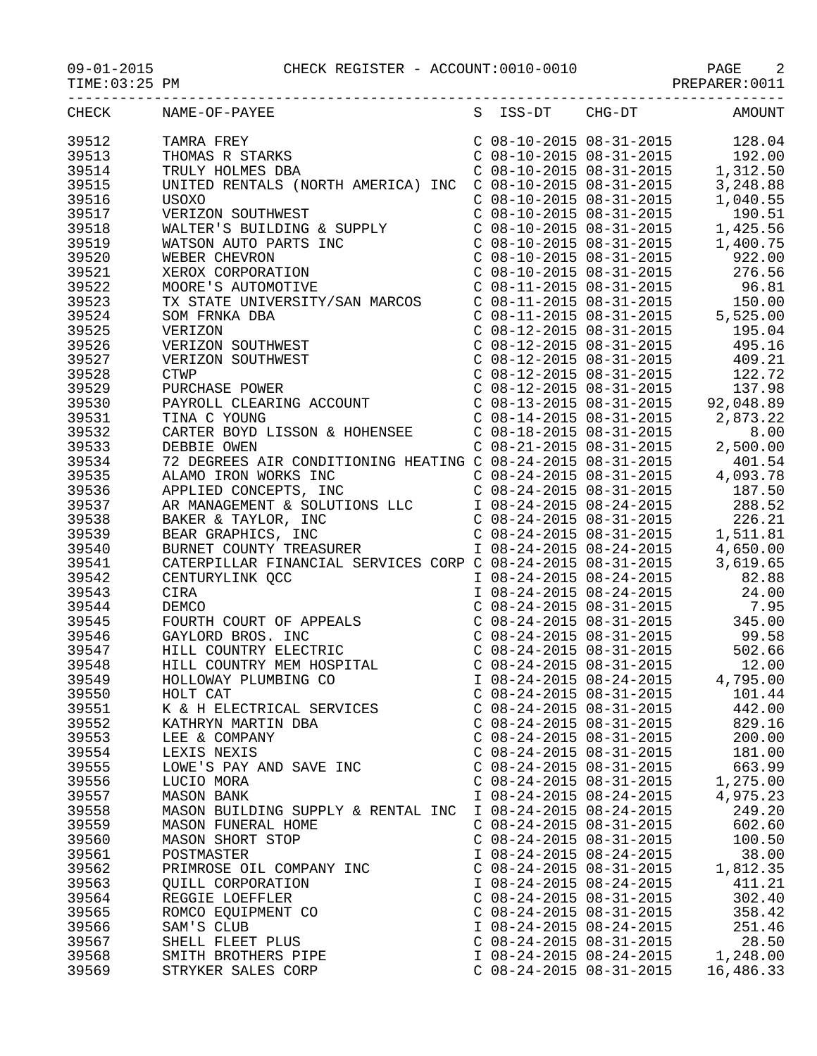| CHECK | NAME-OF-PAYEE                                                                                                                                                                                                                                                                                                                                                                                                                                                                             |                           | S ISS-DT CHG-DT                                                                                                                                                                                                                                  | AMOUNT    |
|-------|-------------------------------------------------------------------------------------------------------------------------------------------------------------------------------------------------------------------------------------------------------------------------------------------------------------------------------------------------------------------------------------------------------------------------------------------------------------------------------------------|---------------------------|--------------------------------------------------------------------------------------------------------------------------------------------------------------------------------------------------------------------------------------------------|-----------|
| 39512 | TAMRA FREY<br>THOMAS R STARKS<br>TRULY HOLMES DBA<br>TAMRA FREY C 08-10-2015 08-31-2015 128.04<br>THOMAS R STARKS C 08-10-2015 08-31-2015 192.00<br>TRULY HOLMES DBA C 08-10-2015 08-31-2015 1,312.50<br>UNITED RENTALS (NORTH AMERICA) INC C 08-10-2015 08-31-2015 3,248.88                                                                                                                                                                                                              |                           |                                                                                                                                                                                                                                                  |           |
| 39513 |                                                                                                                                                                                                                                                                                                                                                                                                                                                                                           |                           |                                                                                                                                                                                                                                                  |           |
| 39514 |                                                                                                                                                                                                                                                                                                                                                                                                                                                                                           |                           |                                                                                                                                                                                                                                                  |           |
| 39515 |                                                                                                                                                                                                                                                                                                                                                                                                                                                                                           |                           |                                                                                                                                                                                                                                                  |           |
| 39516 | <b>USOXO</b>                                                                                                                                                                                                                                                                                                                                                                                                                                                                              |                           | $C$ 08-10-2015 08-31-2015                                                                                                                                                                                                                        | 1,040.55  |
| 39517 |                                                                                                                                                                                                                                                                                                                                                                                                                                                                                           |                           |                                                                                                                                                                                                                                                  |           |
| 39518 |                                                                                                                                                                                                                                                                                                                                                                                                                                                                                           |                           | $\begin{tabular}{lllllllllll} $\text{C} & 08-10-2015 & 08-31-2015 & 190.51 \\ $\text{C} & 08-10-2015 & 08-31-2015 & 1,425.56 \\ $\text{C} & 08-10-2015 & 08-31-2015 & 1,400.75 \\ $\text{C} & 08-10-2015 & 08-31-2015 & 922.00 \\ \end{tabular}$ |           |
| 39519 |                                                                                                                                                                                                                                                                                                                                                                                                                                                                                           |                           |                                                                                                                                                                                                                                                  |           |
| 39520 |                                                                                                                                                                                                                                                                                                                                                                                                                                                                                           |                           |                                                                                                                                                                                                                                                  |           |
| 39521 |                                                                                                                                                                                                                                                                                                                                                                                                                                                                                           |                           | $C$ 08-10-2015 08-31-2015 276.56                                                                                                                                                                                                                 |           |
| 39522 |                                                                                                                                                                                                                                                                                                                                                                                                                                                                                           |                           |                                                                                                                                                                                                                                                  |           |
| 39523 | USOXO<br>VERIZON SOUTHWEST<br>WALTER'S BUILDING & SUPPLY<br>WATSON AUTO PARTS INC<br>WEBER CHEVRON<br>XEROX CORPORATION<br>MOORE'S AUTOMOTIVE<br>MOORE'S AUTOMOTIVE                                                                                                                                                                                                                                                                                                                       |                           | C 08-11-2015 08-31-2015<br>C 08-11-2015 08-31-2015<br>C 08-11-2015 08-31-2015<br>C 08-11-2015 08-31-2015<br>C 08-12-2015 08-31-2015<br>C 08-12-2015 08-31-2015<br>C 08-12-2015 08-31-2015<br>C 08-12-2015 08-31-2015<br>A 95.16                  |           |
|       | TX STATE UNIVERSITY/SAN MARCOS                                                                                                                                                                                                                                                                                                                                                                                                                                                            |                           |                                                                                                                                                                                                                                                  |           |
| 39524 |                                                                                                                                                                                                                                                                                                                                                                                                                                                                                           |                           |                                                                                                                                                                                                                                                  |           |
| 39525 |                                                                                                                                                                                                                                                                                                                                                                                                                                                                                           |                           |                                                                                                                                                                                                                                                  |           |
| 39526 |                                                                                                                                                                                                                                                                                                                                                                                                                                                                                           |                           |                                                                                                                                                                                                                                                  |           |
| 39527 |                                                                                                                                                                                                                                                                                                                                                                                                                                                                                           |                           | C $08-12-2015$ $08-31-2015$ 409.21                                                                                                                                                                                                               |           |
| 39528 |                                                                                                                                                                                                                                                                                                                                                                                                                                                                                           |                           |                                                                                                                                                                                                                                                  |           |
| 39529 |                                                                                                                                                                                                                                                                                                                                                                                                                                                                                           |                           |                                                                                                                                                                                                                                                  |           |
| 39530 | SOM FRNKA DBA<br>VERIZON<br>VERIZON SOUTHWEST<br>VERIZON SOUTHWEST<br>CTWP<br>PURCHASE POWER<br>PAYROLL CLEARING ACCOUNT<br>TINA C YOUNG                                                                                                                                                                                                                                                                                                                                                  |                           |                                                                                                                                                                                                                                                  |           |
| 39531 |                                                                                                                                                                                                                                                                                                                                                                                                                                                                                           |                           |                                                                                                                                                                                                                                                  |           |
| 39532 | VERIZON SOUTHWEST<br>CTWP<br>C 08-12-2015 08-31-2015<br>PAYROLL CLEARING ACCOUNT<br>C 08-12-2015 08-31-2015<br>C 08-13-2015 08-31-2015<br>C 08-14-2015 08-31-2015<br>C 08-14-2015 08-31-2015<br>C 08-14-2015 08-31-2015<br>C 08-14-2015 08-31-20                                                                                                                                                                                                                                          |                           |                                                                                                                                                                                                                                                  |           |
| 39533 |                                                                                                                                                                                                                                                                                                                                                                                                                                                                                           |                           |                                                                                                                                                                                                                                                  |           |
| 39534 |                                                                                                                                                                                                                                                                                                                                                                                                                                                                                           |                           |                                                                                                                                                                                                                                                  |           |
| 39535 |                                                                                                                                                                                                                                                                                                                                                                                                                                                                                           |                           |                                                                                                                                                                                                                                                  |           |
| 39536 |                                                                                                                                                                                                                                                                                                                                                                                                                                                                                           |                           |                                                                                                                                                                                                                                                  |           |
| 39537 |                                                                                                                                                                                                                                                                                                                                                                                                                                                                                           |                           |                                                                                                                                                                                                                                                  |           |
| 39538 |                                                                                                                                                                                                                                                                                                                                                                                                                                                                                           |                           |                                                                                                                                                                                                                                                  |           |
| 39539 | 72 DEGREES AIR CONDITIONING HEATING C 08-24-2015 08-31-2015 401.54<br>ALAMO IRON WORKS INC C 08-24-2015 08-31-2015 400.51<br>APPLIED CONCEPTS, INC C 08-24-2015 08-31-2015 187.50<br>AR MANAGEMENT & SOLUTIONS LLC I 08-24-2015 08-24-2<br>BAKER & TAYLOR, INC<br>BEAR GRAPHICS, INC<br>BEAR GRAPHICS, INC<br>BURNET COUNTY TREASURER<br>CO8-24-2015 08-31-2015<br>I 08-24-2015 08-24-2015<br>CATERPILLAR FINANCIAL SERVICES CORP CO8-24-2015 08-31-2015<br>CENTURYLINK QCC<br>CENTURYLIN |                           |                                                                                                                                                                                                                                                  |           |
| 39540 |                                                                                                                                                                                                                                                                                                                                                                                                                                                                                           |                           |                                                                                                                                                                                                                                                  |           |
| 39541 |                                                                                                                                                                                                                                                                                                                                                                                                                                                                                           |                           |                                                                                                                                                                                                                                                  |           |
| 39542 |                                                                                                                                                                                                                                                                                                                                                                                                                                                                                           |                           |                                                                                                                                                                                                                                                  |           |
| 39543 | CIRA                                                                                                                                                                                                                                                                                                                                                                                                                                                                                      |                           | I 08-24-2015 08-24-2015 24.00                                                                                                                                                                                                                    |           |
| 39544 | DEMCO<br>FOURTH COURT OF APPEALS<br>GAYLORD BROS. INC<br>HILL COUNTRY ELECTRIC<br>HILL COUNTRY MEM HOSPITAL<br>HOLLOWAY PLUMBING CO<br>HOLT CAT                                                                                                                                                                                                                                                                                                                                           |                           | C 08-24-2015 08-31-2015<br>C 08-24-2015 08-31-2015<br>C 08-24-2015 08-31-2015<br>C 08-24-2015 08-31-2015<br>C 08-24-2015 08-31-2015<br>C 08-24-2015 08-31-2015<br>I 08-24-2015 08-24-2015<br>12.00<br>D 08-24-2015 08-24-2015<br>4,795.00        |           |
| 39545 |                                                                                                                                                                                                                                                                                                                                                                                                                                                                                           |                           |                                                                                                                                                                                                                                                  |           |
| 39546 |                                                                                                                                                                                                                                                                                                                                                                                                                                                                                           |                           |                                                                                                                                                                                                                                                  |           |
| 39547 |                                                                                                                                                                                                                                                                                                                                                                                                                                                                                           |                           |                                                                                                                                                                                                                                                  |           |
| 39548 |                                                                                                                                                                                                                                                                                                                                                                                                                                                                                           |                           |                                                                                                                                                                                                                                                  |           |
| 39549 |                                                                                                                                                                                                                                                                                                                                                                                                                                                                                           |                           |                                                                                                                                                                                                                                                  |           |
| 39550 | HOLT CAT                                                                                                                                                                                                                                                                                                                                                                                                                                                                                  | $C$ 08-24-2015 08-31-2015 |                                                                                                                                                                                                                                                  | 101.44    |
| 39551 | K & H ELECTRICAL SERVICES                                                                                                                                                                                                                                                                                                                                                                                                                                                                 | $C$ 08-24-2015 08-31-2015 |                                                                                                                                                                                                                                                  | 442.00    |
| 39552 | KATHRYN MARTIN DBA                                                                                                                                                                                                                                                                                                                                                                                                                                                                        | $C$ 08-24-2015 08-31-2015 |                                                                                                                                                                                                                                                  | 829.16    |
| 39553 | LEE & COMPANY                                                                                                                                                                                                                                                                                                                                                                                                                                                                             |                           | $C$ 08-24-2015 08-31-2015                                                                                                                                                                                                                        | 200.00    |
| 39554 | LEXIS NEXIS                                                                                                                                                                                                                                                                                                                                                                                                                                                                               | $C$ 08-24-2015 08-31-2015 |                                                                                                                                                                                                                                                  | 181.00    |
| 39555 | LOWE'S PAY AND SAVE INC                                                                                                                                                                                                                                                                                                                                                                                                                                                                   | $C$ 08-24-2015 08-31-2015 |                                                                                                                                                                                                                                                  | 663.99    |
| 39556 | LUCIO MORA                                                                                                                                                                                                                                                                                                                                                                                                                                                                                | $C$ 08-24-2015 08-31-2015 |                                                                                                                                                                                                                                                  | 1,275.00  |
| 39557 | <b>MASON BANK</b>                                                                                                                                                                                                                                                                                                                                                                                                                                                                         | I 08-24-2015 08-24-2015   |                                                                                                                                                                                                                                                  | 4,975.23  |
| 39558 | MASON BUILDING SUPPLY & RENTAL INC                                                                                                                                                                                                                                                                                                                                                                                                                                                        | I 08-24-2015 08-24-2015   |                                                                                                                                                                                                                                                  | 249.20    |
| 39559 | MASON FUNERAL HOME                                                                                                                                                                                                                                                                                                                                                                                                                                                                        | $C$ 08-24-2015 08-31-2015 |                                                                                                                                                                                                                                                  | 602.60    |
| 39560 | MASON SHORT STOP                                                                                                                                                                                                                                                                                                                                                                                                                                                                          | $C$ 08-24-2015 08-31-2015 |                                                                                                                                                                                                                                                  | 100.50    |
| 39561 | POSTMASTER                                                                                                                                                                                                                                                                                                                                                                                                                                                                                | I 08-24-2015 08-24-2015   |                                                                                                                                                                                                                                                  | 38.00     |
| 39562 | PRIMROSE OIL COMPANY INC                                                                                                                                                                                                                                                                                                                                                                                                                                                                  | $C$ 08-24-2015 08-31-2015 |                                                                                                                                                                                                                                                  | 1,812.35  |
| 39563 | QUILL CORPORATION                                                                                                                                                                                                                                                                                                                                                                                                                                                                         | I 08-24-2015 08-24-2015   |                                                                                                                                                                                                                                                  | 411.21    |
| 39564 | REGGIE LOEFFLER                                                                                                                                                                                                                                                                                                                                                                                                                                                                           | $C$ 08-24-2015 08-31-2015 |                                                                                                                                                                                                                                                  | 302.40    |
| 39565 | ROMCO EQUIPMENT CO                                                                                                                                                                                                                                                                                                                                                                                                                                                                        | $C$ 08-24-2015 08-31-2015 |                                                                                                                                                                                                                                                  | 358.42    |
| 39566 | SAM'S CLUB                                                                                                                                                                                                                                                                                                                                                                                                                                                                                | I 08-24-2015 08-24-2015   |                                                                                                                                                                                                                                                  | 251.46    |
| 39567 | SHELL FLEET PLUS                                                                                                                                                                                                                                                                                                                                                                                                                                                                          | $C$ 08-24-2015 08-31-2015 |                                                                                                                                                                                                                                                  | 28.50     |
| 39568 | SMITH BROTHERS PIPE                                                                                                                                                                                                                                                                                                                                                                                                                                                                       | I 08-24-2015 08-24-2015   |                                                                                                                                                                                                                                                  | 1,248.00  |
| 39569 | STRYKER SALES CORP                                                                                                                                                                                                                                                                                                                                                                                                                                                                        | $C$ 08-24-2015 08-31-2015 |                                                                                                                                                                                                                                                  | 16,486.33 |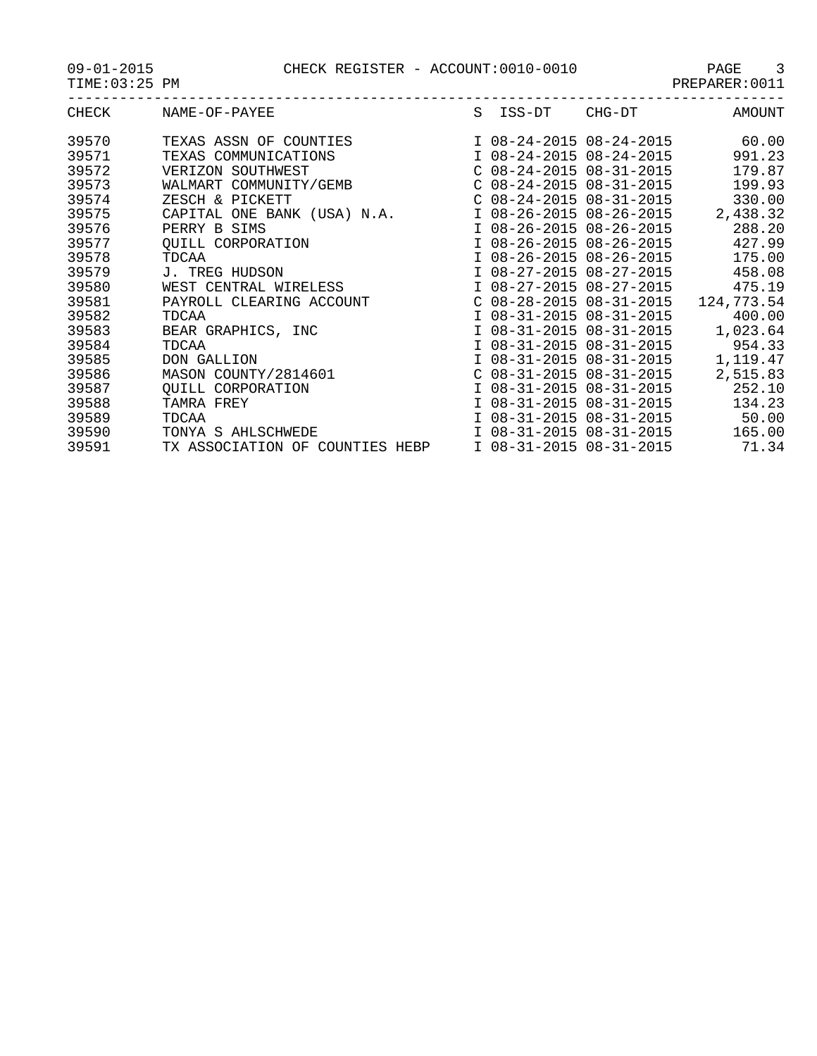09-01-2015 CHECK REGISTER - ACCOUNT:0010-0010 PAGE 3

| $09 - 01 - 2015$ |  |
|------------------|--|
|------------------|--|

| CHECK | NAME-OF-PAYEE                   | S | ISS-DT                    | CHG-DT | <b>AMOUNT</b> |
|-------|---------------------------------|---|---------------------------|--------|---------------|
| 39570 | TEXAS ASSN OF COUNTIES          |   | I 08-24-2015 08-24-2015   |        | 60.00         |
| 39571 | TEXAS COMMUNICATIONS            |   | I 08-24-2015 08-24-2015   |        | 991.23        |
| 39572 | VERIZON SOUTHWEST               |   | $C$ 08-24-2015 08-31-2015 |        | 179.87        |
| 39573 | WALMART COMMUNITY/GEMB          |   | $C$ 08-24-2015 08-31-2015 |        | 199.93        |
| 39574 | ZESCH & PICKETT                 |   | $C$ 08-24-2015 08-31-2015 |        | 330.00        |
| 39575 | CAPITAL ONE BANK (USA) N.A.     |   | I 08-26-2015 08-26-2015   |        | 2,438.32      |
| 39576 | PERRY B SIMS                    |   | I 08-26-2015 08-26-2015   |        | 288.20        |
| 39577 | OUILL CORPORATION               |   | I 08-26-2015 08-26-2015   |        | 427.99        |
| 39578 | TDCAA                           |   | I 08-26-2015 08-26-2015   |        | 175.00        |
| 39579 | J. TREG HUDSON                  |   | I 08-27-2015 08-27-2015   |        | 458.08        |
| 39580 | WEST CENTRAL WIRELESS           |   | I 08-27-2015 08-27-2015   |        | 475.19        |
| 39581 | PAYROLL CLEARING ACCOUNT        |   | $C$ 08-28-2015 08-31-2015 |        | 124,773.54    |
| 39582 | TDCAA                           |   | I 08-31-2015 08-31-2015   |        | 400.00        |
| 39583 | BEAR GRAPHICS, INC              |   | I 08-31-2015 08-31-2015   |        | 1,023.64      |
| 39584 | TDCAA                           |   | I 08-31-2015 08-31-2015   |        | 954.33        |
| 39585 | DON GALLION                     |   | I 08-31-2015 08-31-2015   |        | 1,119.47      |
| 39586 | MASON COUNTY/2814601            |   | $C$ 08-31-2015 08-31-2015 |        | 2,515.83      |
| 39587 | OUILL CORPORATION               |   | I 08-31-2015 08-31-2015   |        | 252.10        |
| 39588 | TAMRA FREY                      |   | I 08-31-2015 08-31-2015   |        | 134.23        |
| 39589 | TDCAA                           |   | I 08-31-2015 08-31-2015   |        | 50.00         |
| 39590 | TONYA S AHLSCHWEDE              |   | I 08-31-2015 08-31-2015   |        | 165.00        |
| 39591 | TX ASSOCIATION OF COUNTIES HEBP |   | I 08-31-2015 08-31-2015   |        | 71.34         |
|       |                                 |   |                           |        |               |